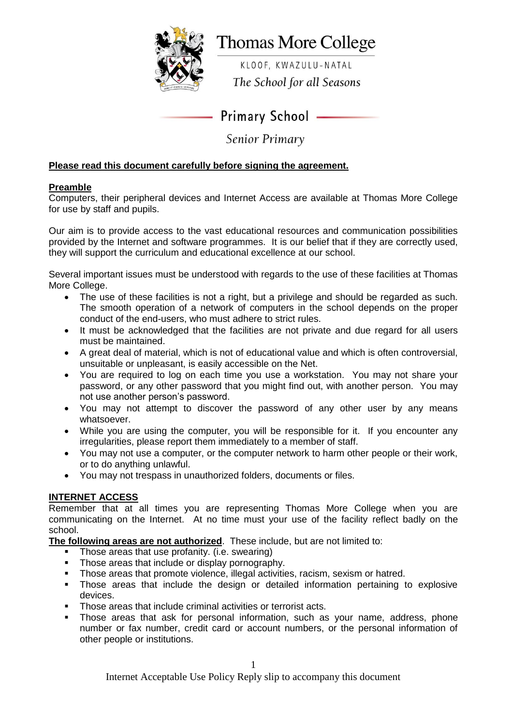

# **Thomas More College**

KLOOF, KWAZULU-NATAL The School for all Seasons

**Primary School -**

**Senior Primary** 

# **Please read this document carefully before signing the agreement.**

# **Preamble**

Computers, their peripheral devices and Internet Access are available at Thomas More College for use by staff and pupils.

Our aim is to provide access to the vast educational resources and communication possibilities provided by the Internet and software programmes. It is our belief that if they are correctly used, they will support the curriculum and educational excellence at our school.

Several important issues must be understood with regards to the use of these facilities at Thomas More College.

- The use of these facilities is not a right, but a privilege and should be regarded as such. The smooth operation of a network of computers in the school depends on the proper conduct of the end-users, who must adhere to strict rules.
- It must be acknowledged that the facilities are not private and due regard for all users must be maintained.
- A great deal of material, which is not of educational value and which is often controversial, unsuitable or unpleasant, is easily accessible on the Net.
- You are required to log on each time you use a workstation. You may not share your password, or any other password that you might find out, with another person. You may not use another person's password.
- You may not attempt to discover the password of any other user by any means whatsoever.
- While you are using the computer, you will be responsible for it. If you encounter any irregularities, please report them immediately to a member of staff.
- You may not use a computer, or the computer network to harm other people or their work, or to do anything unlawful.
- You may not trespass in unauthorized folders, documents or files.

## **INTERNET ACCESS**

Remember that at all times you are representing Thomas More College when you are communicating on the Internet. At no time must your use of the facility reflect badly on the school.

**The following areas are not authorized**. These include, but are not limited to:

- $\blacksquare$  Those areas that use profanity. (i.e. swearing)
- Those areas that include or display pornography.
- Those areas that promote violence, illegal activities, racism, sexism or hatred.<br>Those areas that include the design or detailed information pertaining to
- Those areas that include the design or detailed information pertaining to explosive devices.
- **Those areas that include criminal activities or terrorist acts.**
- Those areas that ask for personal information, such as your name, address, phone number or fax number, credit card or account numbers, or the personal information of other people or institutions.

Internet Acceptable Use Policy Reply slip to accompany this document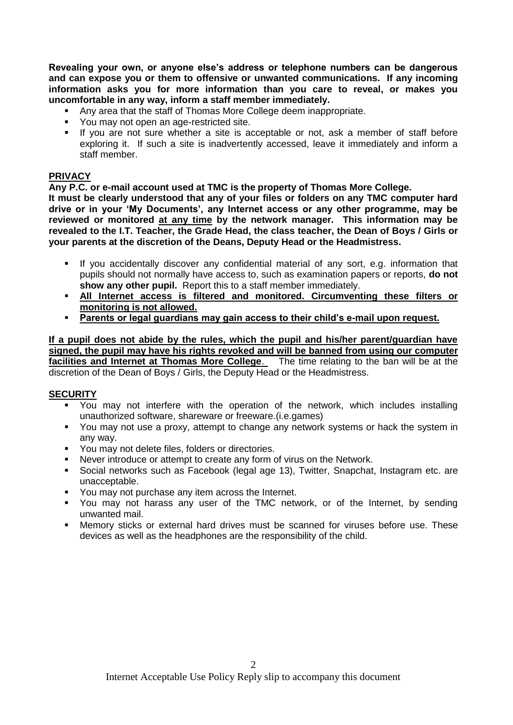**Revealing your own, or anyone else's address or telephone numbers can be dangerous and can expose you or them to offensive or unwanted communications. If any incoming information asks you for more information than you care to reveal, or makes you uncomfortable in any way, inform a staff member immediately.**

- Any area that the staff of Thomas More College deem inappropriate.
- You may not open an age-restricted site.
- If you are not sure whether a site is acceptable or not, ask a member of staff before exploring it. If such a site is inadvertently accessed, leave it immediately and inform a staff member.

## **PRIVACY**

**Any P.C. or e-mail account used at TMC is the property of Thomas More College.**

**It must be clearly understood that any of your files or folders on any TMC computer hard drive or in your 'My Documents', any Internet access or any other programme, may be reviewed or monitored at any time by the network manager. This information may be revealed to the I.T. Teacher, the Grade Head, the class teacher, the Dean of Boys / Girls or your parents at the discretion of the Deans, Deputy Head or the Headmistress.**

- If you accidentally discover any confidential material of any sort, e.g. information that pupils should not normally have access to, such as examination papers or reports, **do not show any other pupil.** Report this to a staff member immediately.
- **All Internet access is filtered and monitored. Circumventing these filters or monitoring is not allowed.**
- **Parents or legal guardians may gain access to their child's e-mail upon request.**

#### **If a pupil does not abide by the rules, which the pupil and his/her parent/guardian have signed, the pupil may have his rights revoked and will be banned from using our computer facilities and Internet at Thomas More College**. The time relating to the ban will be at the discretion of the Dean of Boys / Girls, the Deputy Head or the Headmistress.

## **SECURITY**

- You may not interfere with the operation of the network, which includes installing unauthorized software, shareware or freeware.(i.e.games)
- You may not use a proxy, attempt to change any network systems or hack the system in any way.
- **You may not delete files, folders or directories.**
- Never introduce or attempt to create any form of virus on the Network.
- Social networks such as Facebook (legal age 13), Twitter, Snapchat, Instagram etc. are unacceptable.
- You may not purchase any item across the Internet.
- You may not harass any user of the TMC network, or of the Internet, by sending unwanted mail.
- Memory sticks or external hard drives must be scanned for viruses before use. These devices as well as the headphones are the responsibility of the child.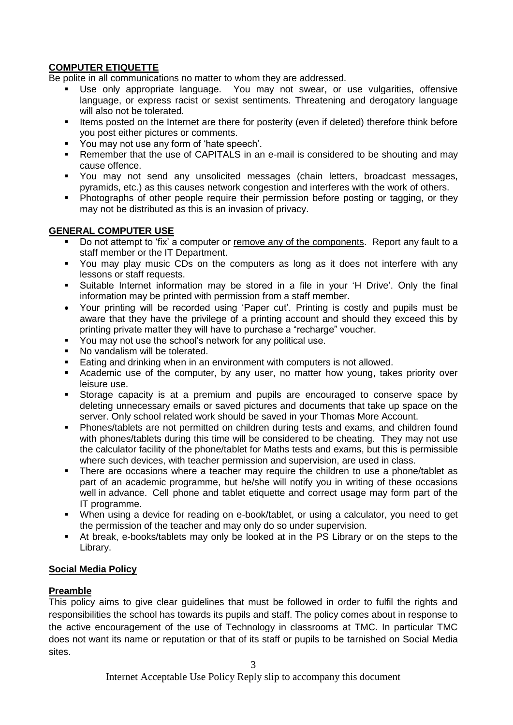## **COMPUTER ETIQUETTE**

Be polite in all communications no matter to whom they are addressed.

- Use only appropriate language. You may not swear, or use vulgarities, offensive language, or express racist or sexist sentiments. Threatening and derogatory language will also not be tolerated.
- Items posted on the Internet are there for posterity (even if deleted) therefore think before you post either pictures or comments.
- You may not use any form of 'hate speech'.
- Remember that the use of CAPITALS in an e-mail is considered to be shouting and may cause offence.
- You may not send any unsolicited messages (chain letters, broadcast messages, pyramids, etc.) as this causes network congestion and interferes with the work of others.
- Photographs of other people require their permission before posting or tagging, or they may not be distributed as this is an invasion of privacy.

## **GENERAL COMPUTER USE**

- Do not attempt to 'fix' a computer or remove any of the components. Report any fault to a staff member or the IT Department.
- You may play music CDs on the computers as long as it does not interfere with any lessons or staff requests.
- Suitable Internet information may be stored in a file in your 'H Drive'. Only the final information may be printed with permission from a staff member.
- Your printing will be recorded using 'Paper cut'. Printing is costly and pupils must be aware that they have the privilege of a printing account and should they exceed this by printing private matter they will have to purchase a "recharge" voucher.
- You may not use the school's network for any political use.
- No vandalism will be tolerated.
- Eating and drinking when in an environment with computers is not allowed.
- Academic use of the computer, by any user, no matter how young, takes priority over leisure use.
- Storage capacity is at a premium and pupils are encouraged to conserve space by deleting unnecessary emails or saved pictures and documents that take up space on the server. Only school related work should be saved in your Thomas More Account.
- Phones/tablets are not permitted on children during tests and exams, and children found with phones/tablets during this time will be considered to be cheating. They may not use the calculator facility of the phone/tablet for Maths tests and exams, but this is permissible where such devices, with teacher permission and supervision, are used in class.
- There are occasions where a teacher may require the children to use a phone/tablet as part of an academic programme, but he/she will notify you in writing of these occasions well in advance. Cell phone and tablet etiquette and correct usage may form part of the IT programme.
- When using a device for reading on e-book/tablet, or using a calculator, you need to get the permission of the teacher and may only do so under supervision.
- At break, e-books/tablets may only be looked at in the PS Library or on the steps to the Library.

## **Social Media Policy**

## **Preamble**

This policy aims to give clear guidelines that must be followed in order to fulfil the rights and responsibilities the school has towards its pupils and staff. The policy comes about in response to the active encouragement of the use of Technology in classrooms at TMC. In particular TMC does not want its name or reputation or that of its staff or pupils to be tarnished on Social Media sites.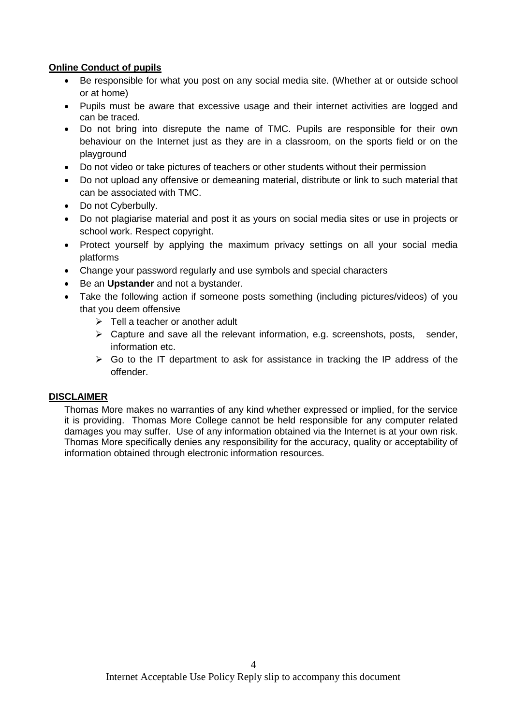## **Online Conduct of pupils**

- Be responsible for what you post on any social media site. (Whether at or outside school or at home)
- Pupils must be aware that excessive usage and their internet activities are logged and can be traced.
- Do not bring into disrepute the name of TMC. Pupils are responsible for their own behaviour on the Internet just as they are in a classroom, on the sports field or on the playground
- Do not video or take pictures of teachers or other students without their permission
- Do not upload any offensive or demeaning material, distribute or link to such material that can be associated with TMC.
- Do not Cyberbully.
- Do not plagiarise material and post it as yours on social media sites or use in projects or school work. Respect copyright.
- Protect yourself by applying the maximum privacy settings on all your social media platforms
- Change your password regularly and use symbols and special characters
- Be an **Upstander** and not a bystander.
- Take the following action if someone posts something (including pictures/videos) of you that you deem offensive
	- $\triangleright$  Tell a teacher or another adult
	- $\triangleright$  Capture and save all the relevant information, e.g. screenshots, posts, sender, information etc.
	- $\triangleright$  Go to the IT department to ask for assistance in tracking the IP address of the offender.

## **DISCLAIMER**

Thomas More makes no warranties of any kind whether expressed or implied, for the service it is providing. Thomas More College cannot be held responsible for any computer related damages you may suffer. Use of any information obtained via the Internet is at your own risk. Thomas More specifically denies any responsibility for the accuracy, quality or acceptability of information obtained through electronic information resources.